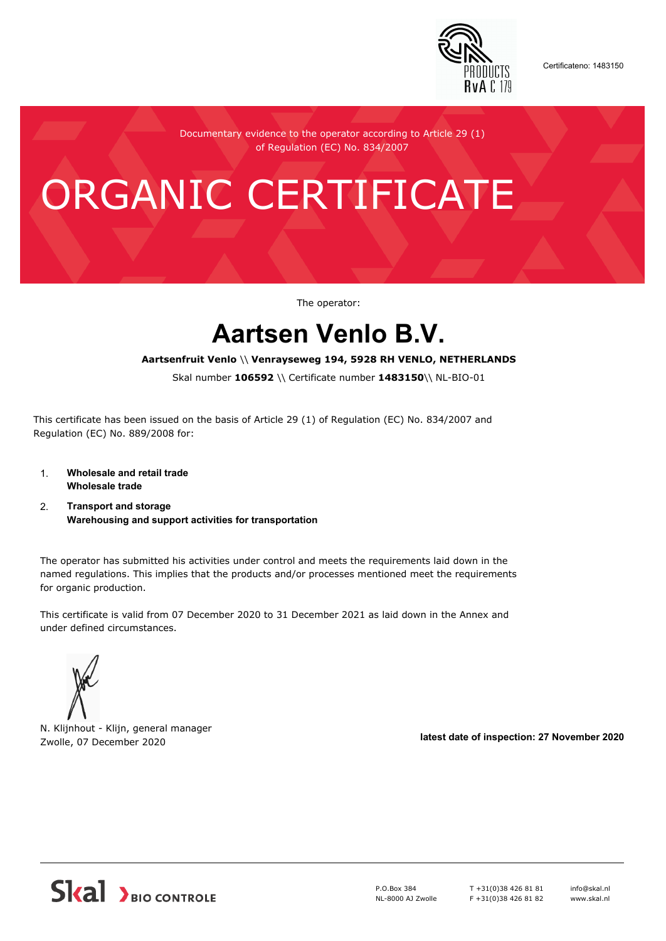

Certificateno: 1483150

Documentary evidence to the operator according to Article 29 (1) of Regulation (EC) No. 834/2007

# ORGANIC CERTIFICATE

The operator:

## **Aartsen Venlo B.V.**

#### **Aartsenfruit Venlo** \\ **Venrayseweg 194, 5928 RH VENLO, NETHERLANDS**

Skal number **106592** \\ Certificate number **1483150**\\ NL-BIO-01

This certificate has been issued on the basis of Article 29 (1) of Regulation (EC) No. 834/2007 and Regulation (EC) No. 889/2008 for:

- 1. **Wholesale and retail trade Wholesale trade**
- 2. **Transport and storage Warehousing and support activities for transportation**

The operator has submitted his activities under control and meets the requirements laid down in the named regulations. This implies that the products and/or processes mentioned meet the requirements for organic production.

This certificate is valid from 07 December 2020 to 31 December 2021 as laid down in the Annex and under defined circumstances.



N. Klijnhout - Klijn, general manager Zwolle, 07 December 2020 **latest date of inspection: 27 November 2020**



P.O.Box 384 NL-8000 AJ Zwolle